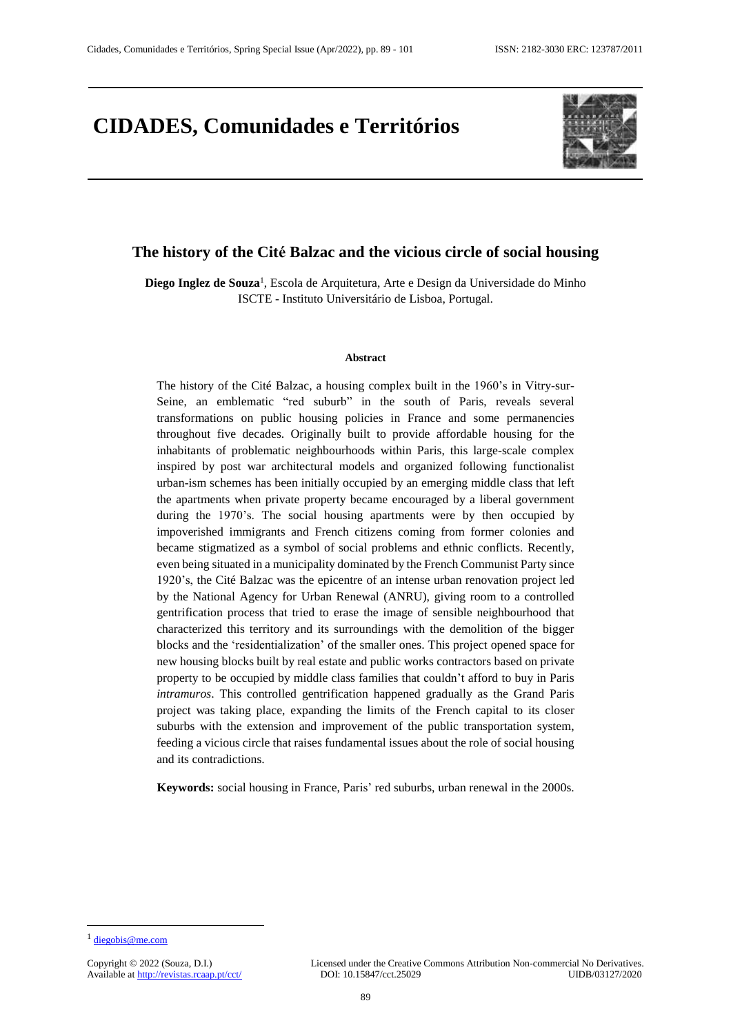## **CIDADES, Comunidades e Territórios**



## **The history of the Cité Balzac and the vicious circle of social housing**

**Diego Inglez de Souza**<sup>1</sup> , Escola de Arquitetura, Arte e Design da Universidade do Minho ISCTE - Instituto Universitário de Lisboa, Portugal.

#### **Abstract**

The history of the Cité Balzac, a housing complex built in the 1960's in Vitry-sur-Seine, an emblematic "red suburb" in the south of Paris, reveals several transformations on public housing policies in France and some permanencies throughout five decades. Originally built to provide affordable housing for the inhabitants of problematic neighbourhoods within Paris, this large-scale complex inspired by post war architectural models and organized following functionalist urban-ism schemes has been initially occupied by an emerging middle class that left the apartments when private property became encouraged by a liberal government during the 1970's. The social housing apartments were by then occupied by impoverished immigrants and French citizens coming from former colonies and became stigmatized as a symbol of social problems and ethnic conflicts. Recently, even being situated in a municipality dominated by the French Communist Party since 1920's, the Cité Balzac was the epicentre of an intense urban renovation project led by the National Agency for Urban Renewal (ANRU), giving room to a controlled gentrification process that tried to erase the image of sensible neighbourhood that characterized this territory and its surroundings with the demolition of the bigger blocks and the 'residentialization' of the smaller ones. This project opened space for new housing blocks built by real estate and public works contractors based on private property to be occupied by middle class families that couldn't afford to buy in Paris *intramuros*. This controlled gentrification happened gradually as the Grand Paris project was taking place, expanding the limits of the French capital to its closer suburbs with the extension and improvement of the public transportation system, feeding a vicious circle that raises fundamental issues about the role of social housing and its contradictions.

**Keywords:** social housing in France, Paris' red suburbs, urban renewal in the 2000s.

 $\overline{a}$ 

<sup>&</sup>lt;sup>1</sup> [diegobis@me.com](mailto:diegobis@me.com)

Available at http://revistas.rcaap.pt/cct/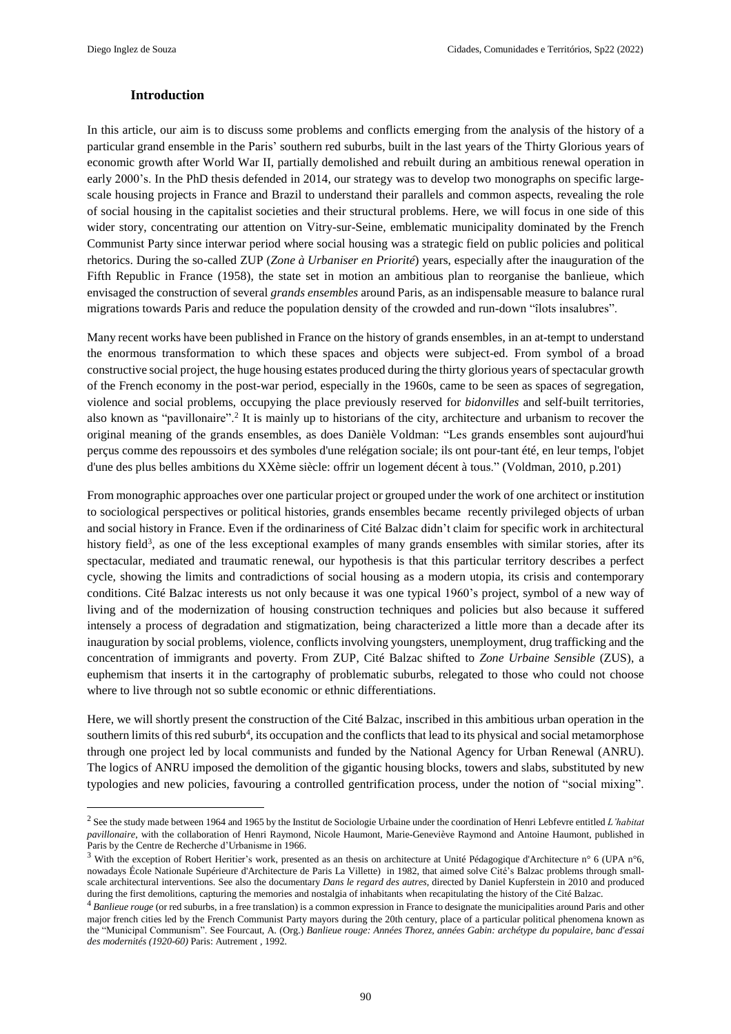#### **Introduction**

In this article, our aim is to discuss some problems and conflicts emerging from the analysis of the history of a particular grand ensemble in the Paris' southern red suburbs, built in the last years of the Thirty Glorious years of economic growth after World War II, partially demolished and rebuilt during an ambitious renewal operation in early 2000's. In the PhD thesis defended in 2014, our strategy was to develop two monographs on specific largescale housing projects in France and Brazil to understand their parallels and common aspects, revealing the role of social housing in the capitalist societies and their structural problems. Here, we will focus in one side of this wider story, concentrating our attention on Vitry-sur-Seine, emblematic municipality dominated by the French Communist Party since interwar period where social housing was a strategic field on public policies and political rhetorics. During the so-called ZUP (*Zone à Urbaniser en Priorité*) years, especially after the inauguration of the Fifth Republic in France (1958), the state set in motion an ambitious plan to reorganise the banlieue, which envisaged the construction of several *grands ensembles* around Paris, as an indispensable measure to balance rural migrations towards Paris and reduce the population density of the crowded and run-down "îlots insalubres".

Many recent works have been published in France on the history of grands ensembles, in an at-tempt to understand the enormous transformation to which these spaces and objects were subject-ed. From symbol of a broad constructive social project, the huge housing estates produced during the thirty glorious years of spectacular growth of the French economy in the post-war period, especially in the 1960s, came to be seen as spaces of segregation, violence and social problems, occupying the place previously reserved for *bidonvilles* and self-built territories, also known as "pavillonaire".<sup>2</sup> It is mainly up to historians of the city, architecture and urbanism to recover the original meaning of the grands ensembles, as does Danièle Voldman: "Les grands ensembles sont aujourd'hui perçus comme des repoussoirs et des symboles d'une relégation sociale; ils ont pour-tant été, en leur temps, l'objet d'une des plus belles ambitions du XXème siècle: offrir un logement décent à tous." (Voldman, 2010, p.201)

From monographic approaches over one particular project or grouped under the work of one architect or institution to sociological perspectives or political histories, grands ensembles became recently privileged objects of urban and social history in France. Even if the ordinariness of Cité Balzac didn't claim for specific work in architectural history field<sup>3</sup>, as one of the less exceptional examples of many grands ensembles with similar stories, after its spectacular, mediated and traumatic renewal, our hypothesis is that this particular territory describes a perfect cycle, showing the limits and contradictions of social housing as a modern utopia, its crisis and contemporary conditions. Cité Balzac interests us not only because it was one typical 1960's project, symbol of a new way of living and of the modernization of housing construction techniques and policies but also because it suffered intensely a process of degradation and stigmatization, being characterized a little more than a decade after its inauguration by social problems, violence, conflicts involving youngsters, unemployment, drug trafficking and the concentration of immigrants and poverty. From ZUP, Cité Balzac shifted to *Zone Urbaine Sensible* (ZUS), a euphemism that inserts it in the cartography of problematic suburbs, relegated to those who could not choose where to live through not so subtle economic or ethnic differentiations.

Here, we will shortly present the construction of the Cité Balzac, inscribed in this ambitious urban operation in the southern limits of this red suburb<sup>4</sup>, its occupation and the conflicts that lead to its physical and social metamorphose through one project led by local communists and funded by the National Agency for Urban Renewal (ANRU). The logics of ANRU imposed the demolition of the gigantic housing blocks, towers and slabs, substituted by new typologies and new policies, favouring a controlled gentrification process, under the notion of "social mixing".

<sup>2</sup> See the study made between 1964 and 1965 by the Institut de Sociologie Urbaine under the coordination of Henri Lebfevre entitled *L'habitat pavillonaire*, with the collaboration of Henri Raymond, Nicole Haumont, Marie-Geneviève Raymond and Antoine Haumont, published in Paris by the Centre de Recherche d'Urbanisme in 1966.

<sup>3</sup> With the exception of Robert Heritier's work, presented as an thesis on architecture at Unité Pédagogique d'Architecture n° 6 (UPA n°6, nowadays École Nationale Supérieure d'Architecture de Paris La Villette) in 1982, that aimed solve Cité's Balzac problems through smallscale architectural interventions. See also the documentary *Dans le regard des autres*, directed by Daniel Kupferstein in 2010 and produced during the first demolitions, capturing the memories and nostalgia of inhabitants when recapitulating the history of the Cité Balzac.

<sup>4</sup> *Banlieue rouge* (or red suburbs, in a free translation) is a common expression in France to designate the municipalities around Paris and other major french cities led by the French Communist Party mayors during the 20th century, place of a particular political phenomena known as the "Municipal Communism". See Fourcaut, A. (Org.) *Banlieue rouge: Années Thorez, années Gabin: archétype du populaire, banc d'essai des modernités (1920-60)* Paris: Autrement , 1992.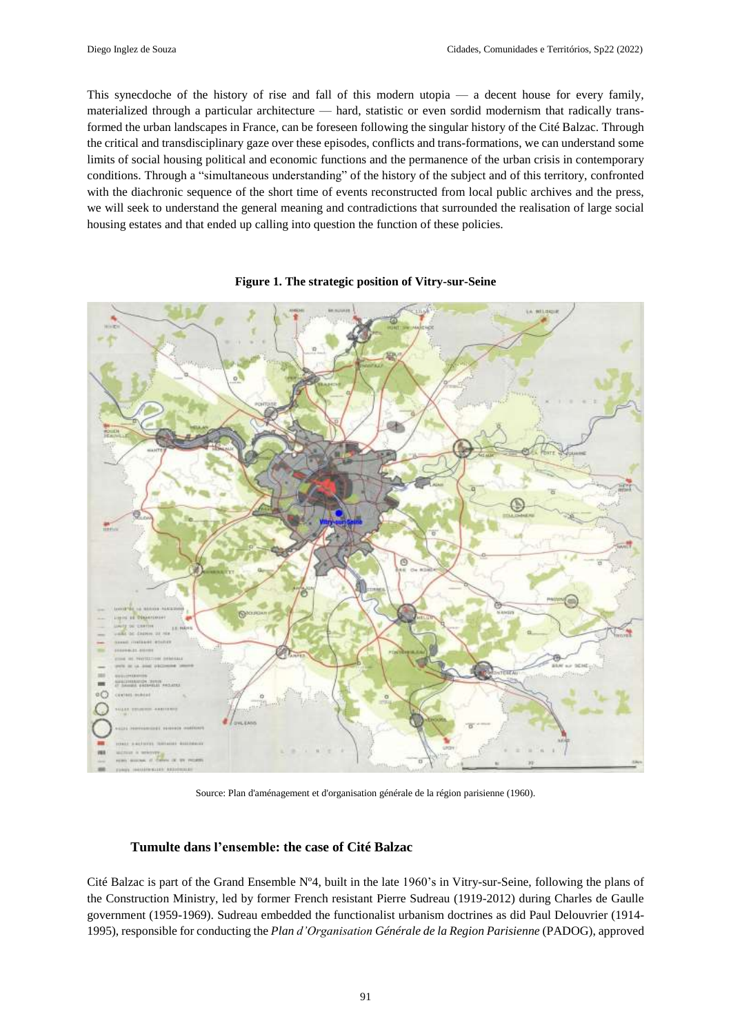This synecdoche of the history of rise and fall of this modern utopia — a decent house for every family, materialized through a particular architecture — hard, statistic or even sordid modernism that radically transformed the urban landscapes in France, can be foreseen following the singular history of the Cité Balzac. Through the critical and transdisciplinary gaze over these episodes, conflicts and trans-formations, we can understand some limits of social housing political and economic functions and the permanence of the urban crisis in contemporary conditions. Through a "simultaneous understanding" of the history of the subject and of this territory, confronted with the diachronic sequence of the short time of events reconstructed from local public archives and the press, we will seek to understand the general meaning and contradictions that surrounded the realisation of large social housing estates and that ended up calling into question the function of these policies.



#### **Figure 1. The strategic position of Vitry-sur-Seine**

Source: Plan d'aménagement et d'organisation générale de la région parisienne (1960).

#### **Tumulte dans l'ensemble: the case of Cité Balzac**

Cité Balzac is part of the Grand Ensemble  $N^{\circ}4$ , built in the late 1960's in Vitry-sur-Seine, following the plans of the Construction Ministry, led by former French resistant Pierre Sudreau (1919-2012) during Charles de Gaulle government (1959-1969). Sudreau embedded the functionalist urbanism doctrines as did Paul Delouvrier (1914- 1995), responsible for conducting the *Plan d'Organisation Générale de la Region Parisienne* (PADOG), approved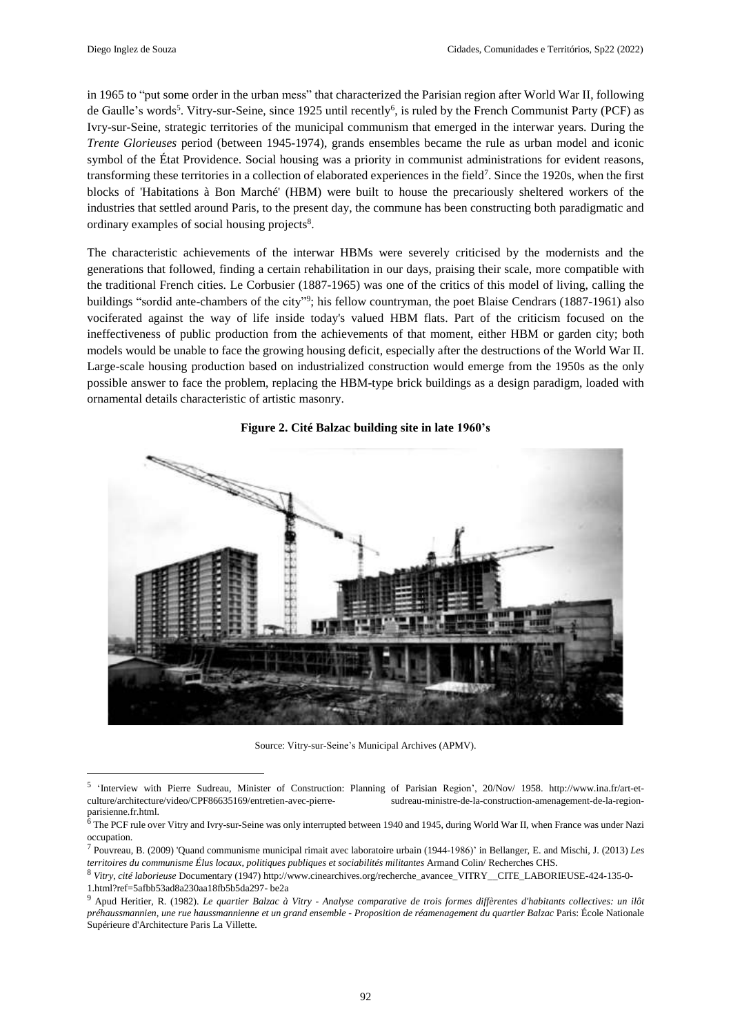in 1965 to "put some order in the urban mess" that characterized the Parisian region after World War II, following de Gaulle's words<sup>5</sup>. Vitry-sur-Seine, since 1925 until recently<sup>6</sup>, is ruled by the French Communist Party (PCF) as Ivry-sur-Seine, strategic territories of the municipal communism that emerged in the interwar years. During the *Trente Glorieuses* period (between 1945-1974), grands ensembles became the rule as urban model and iconic symbol of the État Providence. Social housing was a priority in communist administrations for evident reasons, transforming these territories in a collection of elaborated experiences in the field<sup>7</sup>. Since the 1920s, when the first blocks of 'Habitations à Bon Marché' (HBM) were built to house the precariously sheltered workers of the industries that settled around Paris, to the present day, the commune has been constructing both paradigmatic and ordinary examples of social housing projects<sup>8</sup>.

The characteristic achievements of the interwar HBMs were severely criticised by the modernists and the generations that followed, finding a certain rehabilitation in our days, praising their scale, more compatible with the traditional French cities. Le Corbusier (1887-1965) was one of the critics of this model of living, calling the buildings "sordid ante-chambers of the city"<sup>9</sup>; his fellow countryman, the poet Blaise Cendrars (1887-1961) also vociferated against the way of life inside today's valued HBM flats. Part of the criticism focused on the ineffectiveness of public production from the achievements of that moment, either HBM or garden city; both models would be unable to face the growing housing deficit, especially after the destructions of the World War II. Large-scale housing production based on industrialized construction would emerge from the 1950s as the only possible answer to face the problem, replacing the HBM-type brick buildings as a design paradigm, loaded with ornamental details characteristic of artistic masonry.



**Figure 2. Cité Balzac building site in late 1960's**

Source: Vitry-sur-Seine's Municipal Archives (APMV).

<sup>5</sup> 'Interview with Pierre Sudreau, Minister of Construction: Planning of Parisian Region', 20/Nov/ 1958. http://www.ina.fr/art-etculture/architecture/video/CPF86635169/entretien-avec-pierre- sudreau-ministre-de-la-construction-amenagement-de-la-regionparisienne.fr.html.

 $6$  The PCF rule over Vitry and Ivry-sur-Seine was only interrupted between 1940 and 1945, during World War II, when France was under Nazi occupation.

<sup>7</sup> Pouvreau, B. (2009) 'Quand communisme municipal rimait avec laboratoire urbain (1944-1986)' in Bellanger, E. and Mischi, J. (2013) *Les territoires du communisme Élus locaux, politiques publiques et sociabilités militantes* Armand Colin/ Recherches CHS.

<sup>8</sup> *Vitry, cité laborieuse* Documentary (1947) http://www.cinearchives.org/recherche\_avancee\_VITRY\_\_CITE\_LABORIEUSE-424-135-0- 1.html?ref=5afbb53ad8a230aa18fb5b5da297- be2a

 $^9$  Apud Heritier, R. (1982). Le quartier Balzac à Vitry - Analyse comparative de trois formes diffèrentes d'habitants collectives: un ilôt préhaussmannien, une rue haussmannienne et un grand ensemble - Proposition de réamenagement du quartier Balzac Paris: École Nationale Supérieure d'Architecture Paris La Villette.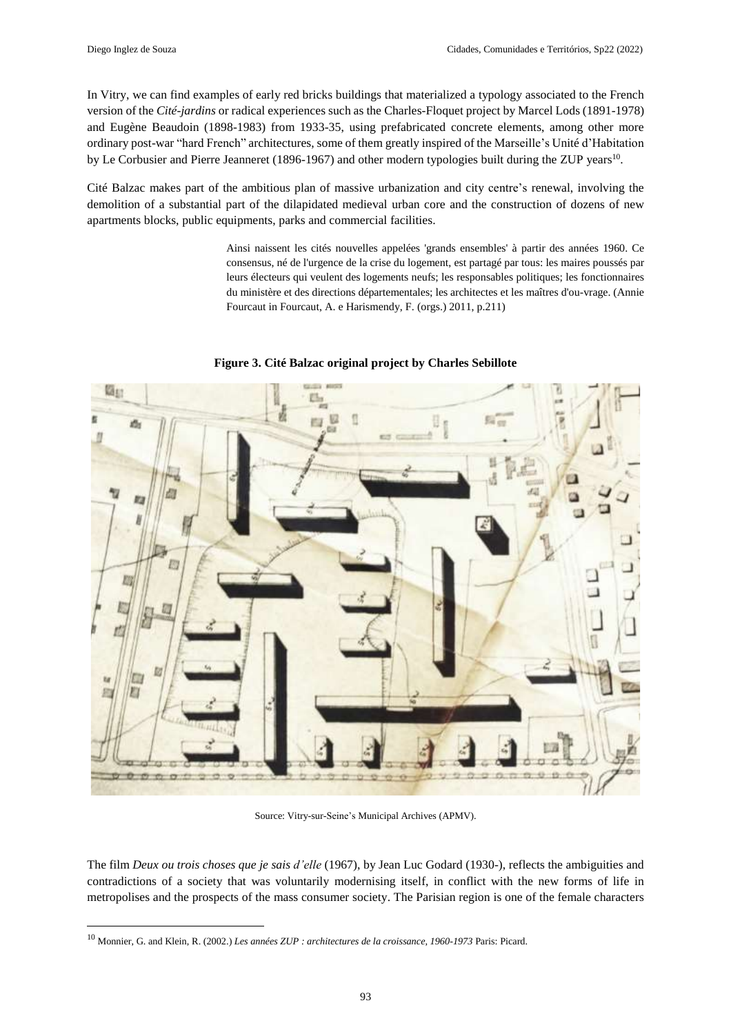In Vitry, we can find examples of early red bricks buildings that materialized a typology associated to the French version of the *Cité-jardins* or radical experiences such as the Charles-Floquet project by Marcel Lods (1891-1978) and Eugène Beaudoin (1898-1983) from 1933-35, using prefabricated concrete elements, among other more ordinary post-war "hard French" architectures, some of them greatly inspired of the Marseille's Unité d'Habitation by Le Corbusier and Pierre Jeanneret (1896-1967) and other modern typologies built during the ZUP years<sup>10</sup>.

Cité Balzac makes part of the ambitious plan of massive urbanization and city centre's renewal, involving the demolition of a substantial part of the dilapidated medieval urban core and the construction of dozens of new apartments blocks, public equipments, parks and commercial facilities.

> Ainsi naissent les cités nouvelles appelées 'grands ensembles' à partir des années 1960. Ce consensus, né de l'urgence de la crise du logement, est partagé par tous: les maires poussés par leurs électeurs qui veulent des logements neufs; les responsables politiques; les fonctionnaires du ministère et des directions départementales; les architectes et les maîtres d'ou-vrage. (Annie Fourcaut in Fourcaut, A. e Harismendy, F. (orgs.) 2011, p.211)



**Figure 3. Cité Balzac original project by Charles Sebillote**

Source: Vitry-sur-Seine's Municipal Archives (APMV).

The film *Deux ou trois choses que je sais d'elle* (1967), by Jean Luc Godard (1930-), reflects the ambiguities and contradictions of a society that was voluntarily modernising itself, in conflict with the new forms of life in metropolises and the prospects of the mass consumer society. The Parisian region is one of the female characters

<sup>10</sup> Monnier, G. and Klein, R. (2002.) *Les années ZUP : architectures de la croissance, 1960-1973* Paris: Picard.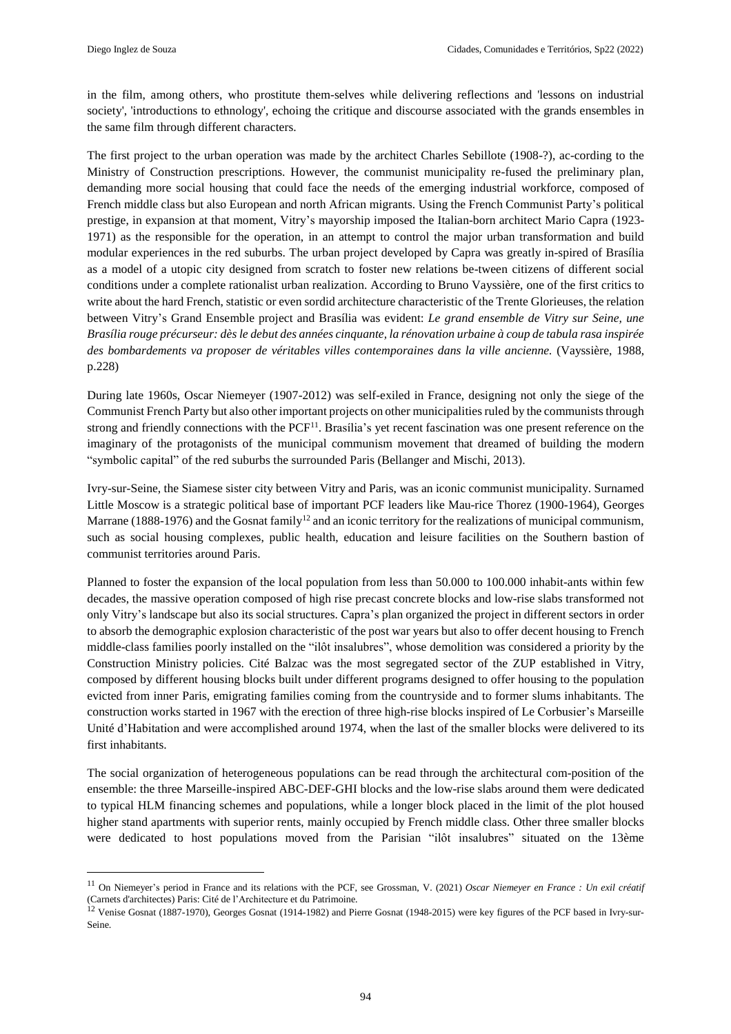in the film, among others, who prostitute them-selves while delivering reflections and 'lessons on industrial society', 'introductions to ethnology', echoing the critique and discourse associated with the grands ensembles in the same film through different characters.

The first project to the urban operation was made by the architect Charles Sebillote (1908-?), ac-cording to the Ministry of Construction prescriptions. However, the communist municipality re-fused the preliminary plan, demanding more social housing that could face the needs of the emerging industrial workforce, composed of French middle class but also European and north African migrants. Using the French Communist Party's political prestige, in expansion at that moment, Vitry's mayorship imposed the Italian-born architect Mario Capra (1923- 1971) as the responsible for the operation, in an attempt to control the major urban transformation and build modular experiences in the red suburbs. The urban project developed by Capra was greatly in-spired of Brasília as a model of a utopic city designed from scratch to foster new relations be-tween citizens of different social conditions under a complete rationalist urban realization. According to Bruno Vayssière, one of the first critics to write about the hard French, statistic or even sordid architecture characteristic of the Trente Glorieuses, the relation between Vitry's Grand Ensemble project and Brasília was evident: *Le grand ensemble de Vitry sur Seine, une* Brasília rouge précurseur: dès le debut des années cinquante, la rénovation urbaine à coup de tabula rasa inspirée *des bombardements va proposer de véritables villes contemporaines dans la ville ancienne.* (Vayssière, 1988, p.228)

During late 1960s, Oscar Niemeyer (1907-2012) was self-exiled in France, designing not only the siege of the Communist French Party but also other important projects on other municipalities ruled by the communists through strong and friendly connections with the PCF<sup>11</sup>. Brasília's yet recent fascination was one present reference on the imaginary of the protagonists of the municipal communism movement that dreamed of building the modern "symbolic capital" of the red suburbs the surrounded Paris (Bellanger and Mischi, 2013).

Ivry-sur-Seine, the Siamese sister city between Vitry and Paris, was an iconic communist municipality. Surnamed Little Moscow is a strategic political base of important PCF leaders like Mau-rice Thorez (1900-1964), Georges Marrane (1888-1976) and the Gosnat family<sup>12</sup> and an iconic territory for the realizations of municipal communism, such as social housing complexes, public health, education and leisure facilities on the Southern bastion of communist territories around Paris.

Planned to foster the expansion of the local population from less than 50.000 to 100.000 inhabit-ants within few decades, the massive operation composed of high rise precast concrete blocks and low-rise slabs transformed not only Vitry's landscape but also its social structures. Capra's plan organized the project in different sectors in order to absorb the demographic explosion characteristic of the post war years but also to offer decent housing to French middle-class families poorly installed on the "ilôt insalubres", whose demolition was considered a priority by the Construction Ministry policies. Cité Balzac was the most segregated sector of the ZUP established in Vitry, composed by different housing blocks built under different programs designed to offer housing to the population evicted from inner Paris, emigrating families coming from the countryside and to former slums inhabitants. The construction works started in 1967 with the erection of three high-rise blocks inspired of Le Corbusier's Marseille Unité d'Habitation and were accomplished around 1974, when the last of the smaller blocks were delivered to its first inhabitants.

The social organization of heterogeneous populations can be read through the architectural com-position of the ensemble: the three Marseille-inspired ABC-DEF-GHI blocks and the low-rise slabs around them were dedicated to typical HLM financing schemes and populations, while a longer block placed in the limit of the plot housed higher stand apartments with superior rents, mainly occupied by French middle class. Other three smaller blocks were dedicated to host populations moved from the Parisian "ilôt insalubres" situated on the 13ème

<sup>11</sup> On Niemeyer's period in France and its relations with the PCF, see Grossman, V. (2021) *Oscar Niemeyer en France : Un exil créatif* (Carnets d'architectes) Paris: Cité de l'Architecture et du Patrimoine.

<sup>&</sup>lt;sup>12</sup> Venise Gosnat (1887-1970), Georges Gosnat (1914-1982) and Pierre Gosnat (1948-2015) were key figures of the PCF based in Ivry-sur-Seine.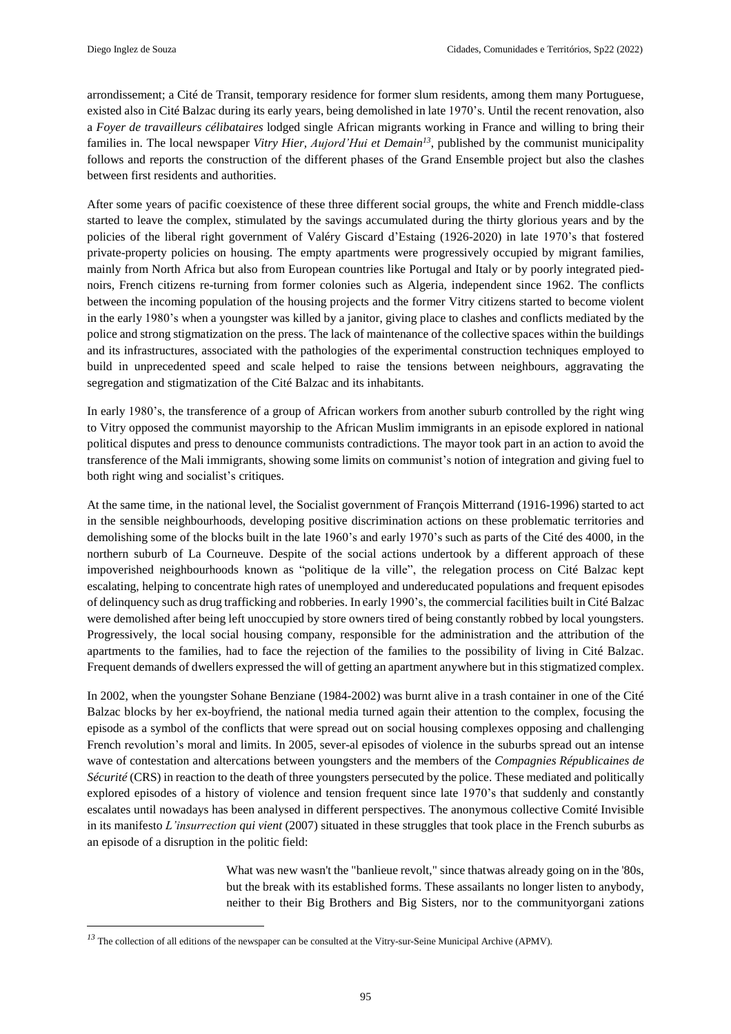arrondissement; a Cité de Transit, temporary residence for former slum residents, among them many Portuguese, existed also in Cité Balzac during its early years, being demolished in late 1970's. Until the recent renovation, also a *Foyer de travailleurs célibataires* lodged single African migrants working in France and willing to bring their families in. The local newspaper *Vitry Hier, Aujord'Hui et Demain<sup>13</sup>* , published by the communist municipality follows and reports the construction of the different phases of the Grand Ensemble project but also the clashes between first residents and authorities.

After some years of pacific coexistence of these three different social groups, the white and French middle-class started to leave the complex, stimulated by the savings accumulated during the thirty glorious years and by the policies of the liberal right government of Valéry Giscard d'Estaing (1926-2020) in late 1970's that fostered private-property policies on housing. The empty apartments were progressively occupied by migrant families, mainly from North Africa but also from European countries like Portugal and Italy or by poorly integrated piednoirs, French citizens re-turning from former colonies such as Algeria, independent since 1962. The conflicts between the incoming population of the housing projects and the former Vitry citizens started to become violent in the early 1980's when a youngster was killed by a janitor, giving place to clashes and conflicts mediated by the police and strong stigmatization on the press. The lack of maintenance of the collective spaces within the buildings and its infrastructures, associated with the pathologies of the experimental construction techniques employed to build in unprecedented speed and scale helped to raise the tensions between neighbours, aggravating the segregation and stigmatization of the Cité Balzac and its inhabitants.

In early 1980's, the transference of a group of African workers from another suburb controlled by the right wing to Vitry opposed the communist mayorship to the African Muslim immigrants in an episode explored in national political disputes and press to denounce communists contradictions. The mayor took part in an action to avoid the transference of the Mali immigrants, showing some limits on communist's notion of integration and giving fuel to both right wing and socialist's critiques.

At the same time, in the national level, the Socialist government of François Mitterrand (1916-1996) started to act in the sensible neighbourhoods, developing positive discrimination actions on these problematic territories and demolishing some of the blocks built in the late 1960's and early 1970's such as parts of the Cité des 4000, in the northern suburb of La Courneuve. Despite of the social actions undertook by a different approach of these impoverished neighbourhoods known as "politique de la ville", the relegation process on Cité Balzac kept escalating, helping to concentrate high rates of unemployed and undereducated populations and frequent episodes of delinquency such as drug trafficking and robberies. In early 1990's, the commercial facilities built in Cité Balzac were demolished after being left unoccupied by store owners tired of being constantly robbed by local youngsters. Progressively, the local social housing company, responsible for the administration and the attribution of the apartments to the families, had to face the rejection of the families to the possibility of living in Cité Balzac. Frequent demands of dwellers expressed the will of getting an apartment anywhere but in thisstigmatized complex.

In 2002, when the youngster Sohane Benziane (1984-2002) was burnt alive in a trash container in one of the Cité Balzac blocks by her ex-boyfriend, the national media turned again their attention to the complex, focusing the episode as a symbol of the conflicts that were spread out on social housing complexes opposing and challenging French revolution's moral and limits. In 2005, sever-al episodes of violence in the suburbs spread out an intense wave of contestation and altercations between youngsters and the members of the *Compagnies Républicaines de Sécurité* (CRS) in reaction to the death of three youngsters persecuted by the police. These mediated and politically explored episodes of a history of violence and tension frequent since late 1970's that suddenly and constantly escalates until nowadays has been analysed in different perspectives. The anonymous collective Comité Invisible in its manifesto *L'insurrection qui vient* (2007) situated in these struggles that took place in the French suburbs as an episode of a disruption in the politic field:

> What was new wasn't the "banlieue revolt," since thatwas already going on in the '80s, but the break with its established forms. These assailants no longer listen to anybody, neither to their Big Brothers and Big Sisters, nor to the communityorgani zations

*<sup>13</sup>* The collection of all editions of the newspaper can be consulted at the Vitry-sur-Seine Municipal Archive (APMV).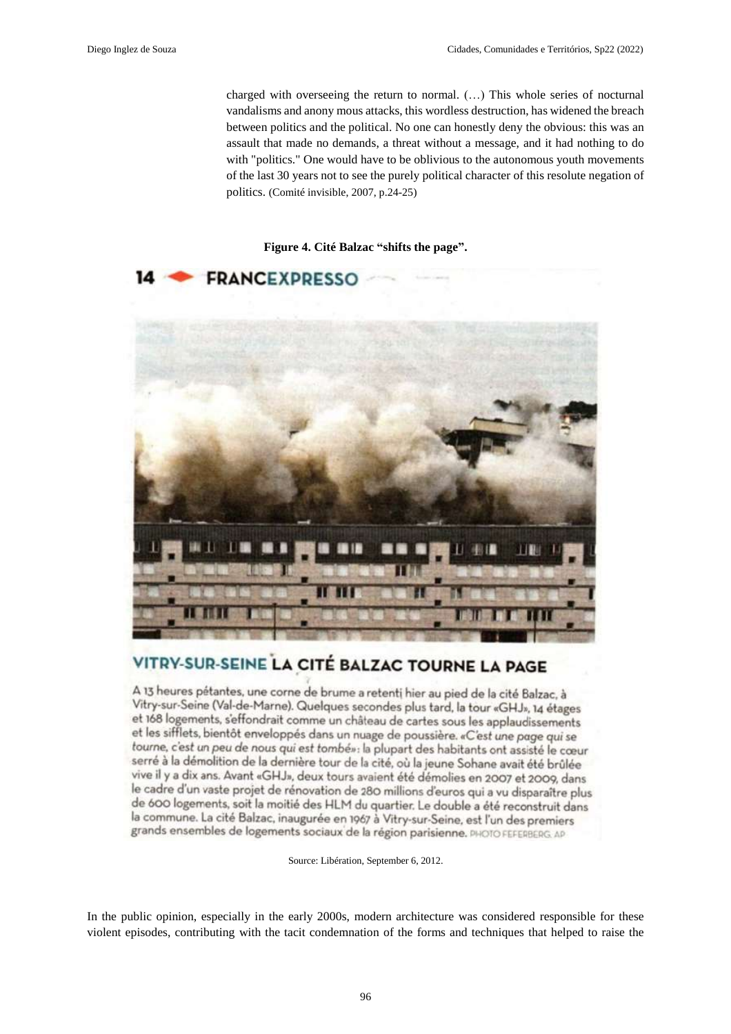charged with overseeing the return to normal. (…) This whole series of nocturnal vandalisms and anony mous attacks, this wordless destruction, has widened the breach between politics and the political. No one can honestly deny the obvious: this was an assault that made no demands, a threat without a message, and it had nothing to do with "politics." One would have to be oblivious to the autonomous youth movements of the last 30 years not to see the purely political character of this resolute negation of politics. (Comité invisible, 2007, p.24-25)

#### **Figure 4. Cité Balzac "shifts the page".**



# VITRY-SUR-SEINE LA CITÉ BALZAC TOURNE LA PAGE

A 13 heures pétantes, une corne de brume a retenti hier au pied de la cité Balzac, à Vitry-sur-Seine (Val-de-Marne). Quelques secondes plus tard, la tour «GHJ», 14 étages et 168 logements, s'effondrait comme un château de cartes sous les applaudissements et les sifflets, bientôt enveloppés dans un nuage de poussière. «C'est une page qui se tourne, c'est un peu de nous qui est tombé»: la plupart des habitants ont assisté le cœur serré à la démolition de la dernière tour de la cité, où la jeune Sohane avait été brûlée vive il y a dix ans. Avant «GHJ», deux tours avaient été démolies en 2007 et 2009, dans le cadre d'un vaste projet de rénovation de 280 millions d'euros qui a vu disparaître plus de 600 logements, soit la moitié des HLM du quartier. Le double a été reconstruit dans la commune. La cité Balzac, inaugurée en 1967 à Vitry-sur-Seine, est l'un des premiers grands ensembles de logements sociaux de la région parisienne. PHOTO FEFERBERG. AP

Source: Libération, September 6, 2012.

In the public opinion, especially in the early 2000s, modern architecture was considered responsible for these violent episodes, contributing with the tacit condemnation of the forms and techniques that helped to raise the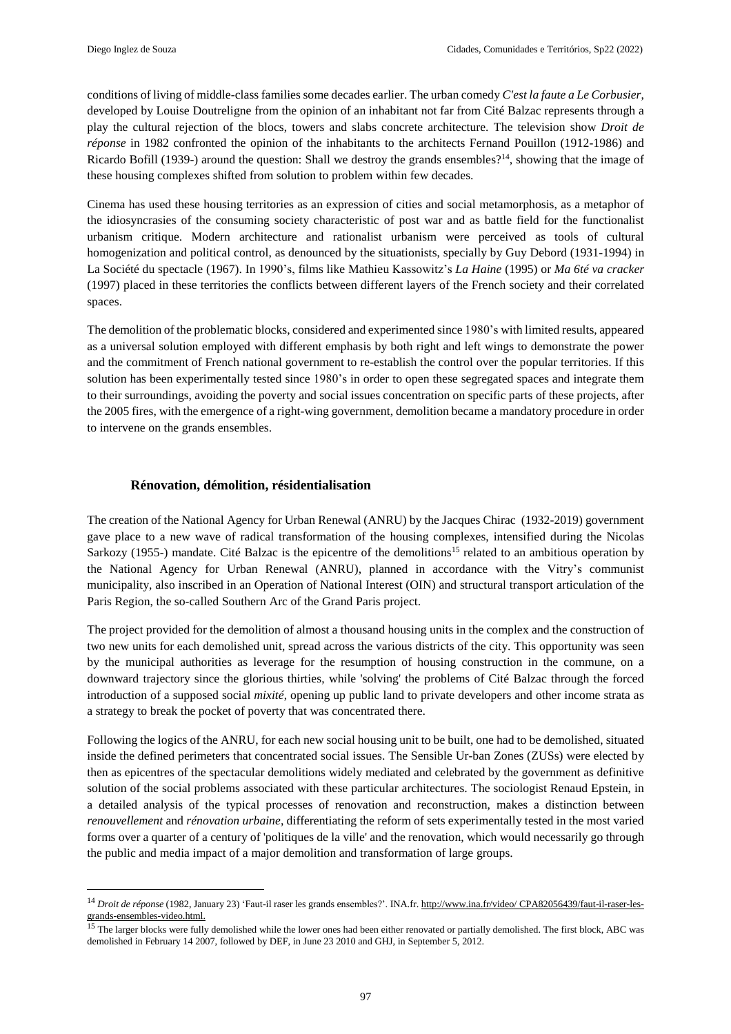conditions of living of middle-class families some decades earlier. The urban comedy *C'est la faute a Le Corbusier*, developed by Louise Doutreligne from the opinion of an inhabitant not far from Cité Balzac represents through a play the cultural rejection of the blocs, towers and slabs concrete architecture. The television show *Droit de réponse* in 1982 confronted the opinion of the inhabitants to the architects Fernand Pouillon (1912-1986) and Ricardo Bofill (1939-) around the question: Shall we destroy the grands ensembles?<sup>14</sup>, showing that the image of these housing complexes shifted from solution to problem within few decades.

Cinema has used these housing territories as an expression of cities and social metamorphosis, as a metaphor of the idiosyncrasies of the consuming society characteristic of post war and as battle field for the functionalist urbanism critique. Modern architecture and rationalist urbanism were perceived as tools of cultural homogenization and political control, as denounced by the situationists, specially by Guy Debord (1931-1994) in La Société du spectacle (1967). In 1990's, films like Mathieu Kassowitz's *La Haine* (1995) or *Ma 6té va cracker* (1997) placed in these territories the conflicts between different layers of the French society and their correlated spaces.

The demolition of the problematic blocks, considered and experimented since 1980's with limited results, appeared as a universal solution employed with different emphasis by both right and left wings to demonstrate the power and the commitment of French national government to re-establish the control over the popular territories. If this solution has been experimentally tested since 1980's in order to open these segregated spaces and integrate them to their surroundings, avoiding the poverty and social issues concentration on specific parts of these projects, after the 2005 fires, with the emergence of a right-wing government, demolition became a mandatory procedure in order to intervene on the grands ensembles.

## **Rénovation, démolition, résidentialisation**

The creation of the National Agency for Urban Renewal (ANRU) by the Jacques Chirac (1932-2019) government gave place to a new wave of radical transformation of the housing complexes, intensified during the Nicolas Sarkozy (1955-) mandate. Cité Balzac is the epicentre of the demolitions<sup>15</sup> related to an ambitious operation by the National Agency for Urban Renewal (ANRU), planned in accordance with the Vitry's communist municipality, also inscribed in an Operation of National Interest (OIN) and structural transport articulation of the Paris Region, the so-called Southern Arc of the Grand Paris project.

The project provided for the demolition of almost a thousand housing units in the complex and the construction of two new units for each demolished unit, spread across the various districts of the city. This opportunity was seen by the municipal authorities as leverage for the resumption of housing construction in the commune, on a downward trajectory since the glorious thirties, while 'solving' the problems of Cité Balzac through the forced introduction of a supposed social *mixité*, opening up public land to private developers and other income strata as a strategy to break the pocket of poverty that was concentrated there.

Following the logics of the ANRU, for each new social housing unit to be built, one had to be demolished, situated inside the defined perimeters that concentrated social issues. The Sensible Ur-ban Zones (ZUSs) were elected by then as epicentres of the spectacular demolitions widely mediated and celebrated by the government as definitive solution of the social problems associated with these particular architectures. The sociologist Renaud Epstein, in a detailed analysis of the typical processes of renovation and reconstruction, makes a distinction between *renouvellement* and *rénovation urbaine*, differentiating the reform of sets experimentally tested in the most varied forms over a quarter of a century of 'politiques de la ville' and the renovation, which would necessarily go through the public and media impact of a major demolition and transformation of large groups.

<sup>14</sup> *Droit de réponse* (1982, January 23) 'Faut-il raser les grands ensembles?'. INA.fr. http://www.ina.fr/video/ CPA82056439/faut-il-raser-lesgrands-ensembles-video.html.

<sup>&</sup>lt;sup>15</sup> The larger blocks were fully demolished while the lower ones had been either renovated or partially demolished. The first block, ABC was demolished in February 14 2007, followed by DEF, in June 23 2010 and GHJ, in September 5, 2012.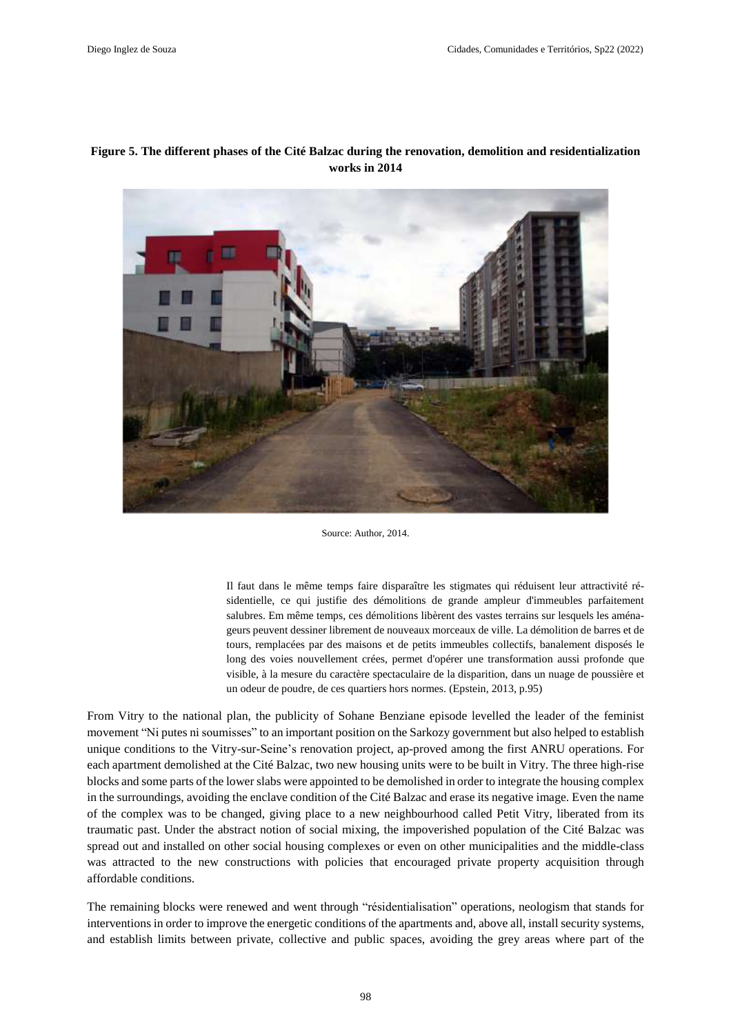## **Figure 5. The different phases of the Cité Balzac during the renovation, demolition and residentialization works in 2014**



Source: Author, 2014.

Il faut dans le même temps faire disparaître les stigmates qui réduisent leur attractivité résidentielle, ce qui justifie des démolitions de grande ampleur d'immeubles parfaitement salubres. Em même temps, ces démolitions libèrent des vastes terrains sur lesquels les aménageurs peuvent dessiner librement de nouveaux morceaux de ville. La démolition de barres et de tours, remplacées par des maisons et de petits immeubles collectifs, banalement disposés le long des voies nouvellement crées, permet d'opérer une transformation aussi profonde que visible, à la mesure du caractère spectaculaire de la disparition, dans un nuage de poussière et un odeur de poudre, de ces quartiers hors normes. (Epstein, 2013, p.95)

From Vitry to the national plan, the publicity of Sohane Benziane episode levelled the leader of the feminist movement "Ni putes ni soumisses" to an important position on the Sarkozy government but also helped to establish unique conditions to the Vitry-sur-Seine's renovation project, ap-proved among the first ANRU operations. For each apartment demolished at the Cité Balzac, two new housing units were to be built in Vitry. The three high-rise blocks and some parts of the lower slabs were appointed to be demolished in order to integrate the housing complex in the surroundings, avoiding the enclave condition of the Cité Balzac and erase its negative image. Even the name of the complex was to be changed, giving place to a new neighbourhood called Petit Vitry, liberated from its traumatic past. Under the abstract notion of social mixing, the impoverished population of the Cité Balzac was spread out and installed on other social housing complexes or even on other municipalities and the middle-class was attracted to the new constructions with policies that encouraged private property acquisition through affordable conditions.

The remaining blocks were renewed and went through "résidentialisation" operations, neologism that stands for interventions in order to improve the energetic conditions of the apartments and, above all, install security systems, and establish limits between private, collective and public spaces, avoiding the grey areas where part of the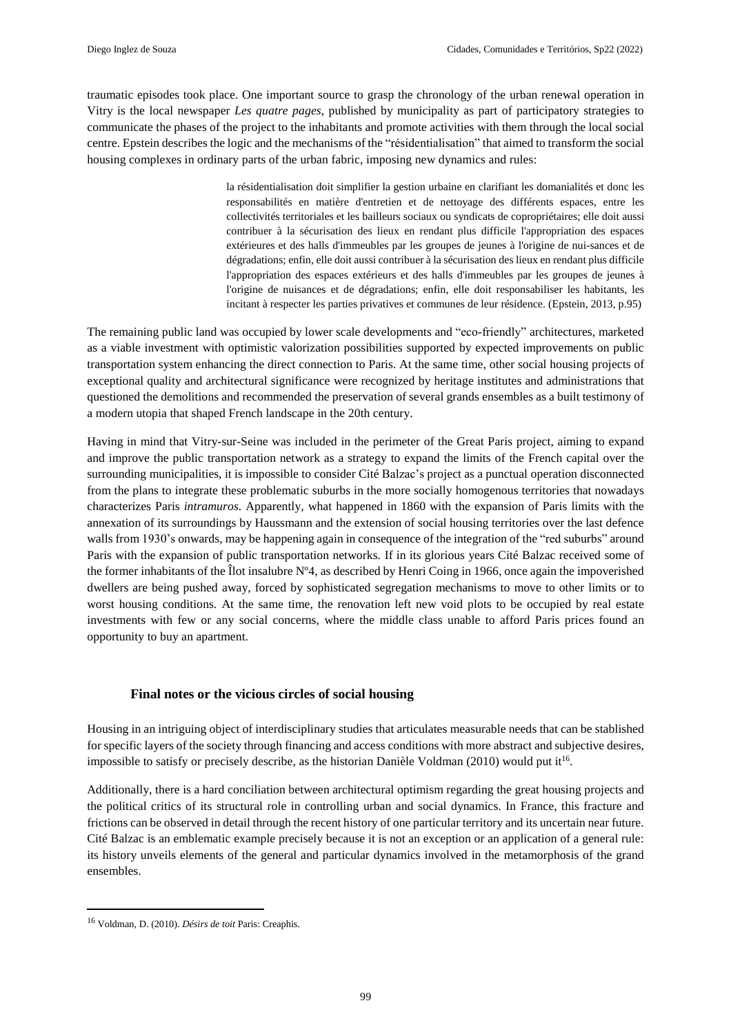traumatic episodes took place. One important source to grasp the chronology of the urban renewal operation in Vitry is the local newspaper *Les quatre pages*, published by municipality as part of participatory strategies to communicate the phases of the project to the inhabitants and promote activities with them through the local social centre. Epstein describes the logic and the mechanisms of the "résidentialisation" that aimed to transform the social housing complexes in ordinary parts of the urban fabric, imposing new dynamics and rules:

> la résidentialisation doit simplifier la gestion urbaine en clarifiant les domanialités et donc les responsabilités en matière d'entretien et de nettoyage des différents espaces, entre les collectivités territoriales et les bailleurs sociaux ou syndicats de copropriétaires; elle doit aussi contribuer à la sécurisation des lieux en rendant plus difficile l'appropriation des espaces extérieures et des halls d'immeubles par les groupes de jeunes à l'origine de nui-sances et de dégradations; enfin, elle doit aussi contribuer à la sécurisation des lieux en rendant plus difficile l'appropriation des espaces extérieurs et des halls d'immeubles par les groupes de jeunes à l'origine de nuisances et de dégradations; enfin, elle doit responsabiliser les habitants, les incitant à respecter les parties privatives et communes de leur résidence. (Epstein, 2013, p.95)

The remaining public land was occupied by lower scale developments and "eco-friendly" architectures, marketed as a viable investment with optimistic valorization possibilities supported by expected improvements on public transportation system enhancing the direct connection to Paris. At the same time, other social housing projects of exceptional quality and architectural significance were recognized by heritage institutes and administrations that questioned the demolitions and recommended the preservation of several grands ensembles as a built testimony of a modern utopia that shaped French landscape in the 20th century.

Having in mind that Vitry-sur-Seine was included in the perimeter of the Great Paris project, aiming to expand and improve the public transportation network as a strategy to expand the limits of the French capital over the surrounding municipalities, it is impossible to consider Cité Balzac's project as a punctual operation disconnected from the plans to integrate these problematic suburbs in the more socially homogenous territories that nowadays characterizes Paris *intramuros*. Apparently, what happened in 1860 with the expansion of Paris limits with the annexation of its surroundings by Haussmann and the extension of social housing territories over the last defence walls from 1930's onwards, may be happening again in consequence of the integration of the "red suburbs" around Paris with the expansion of public transportation networks. If in its glorious years Cité Balzac received some of the former inhabitants of the Îlot insalubre Nº4, as described by Henri Coing in 1966, once again the impoverished dwellers are being pushed away, forced by sophisticated segregation mechanisms to move to other limits or to worst housing conditions. At the same time, the renovation left new void plots to be occupied by real estate investments with few or any social concerns, where the middle class unable to afford Paris prices found an opportunity to buy an apartment.

## **Final notes or the vicious circles of social housing**

Housing in an intriguing object of interdisciplinary studies that articulates measurable needs that can be stablished for specific layers of the society through financing and access conditions with more abstract and subjective desires, impossible to satisfy or precisely describe, as the historian Danièle Voldman (2010) would put it<sup>16</sup>.

Additionally, there is a hard conciliation between architectural optimism regarding the great housing projects and the political critics of its structural role in controlling urban and social dynamics. In France, this fracture and frictions can be observed in detail through the recent history of one particular territory and its uncertain near future. Cité Balzac is an emblematic example precisely because it is not an exception or an application of a general rule: its history unveils elements of the general and particular dynamics involved in the metamorphosis of the grand ensembles.

 $\overline{a}$ 

<sup>16</sup> Voldman, D. (2010). *Désirs de toit* Paris: Creaphis.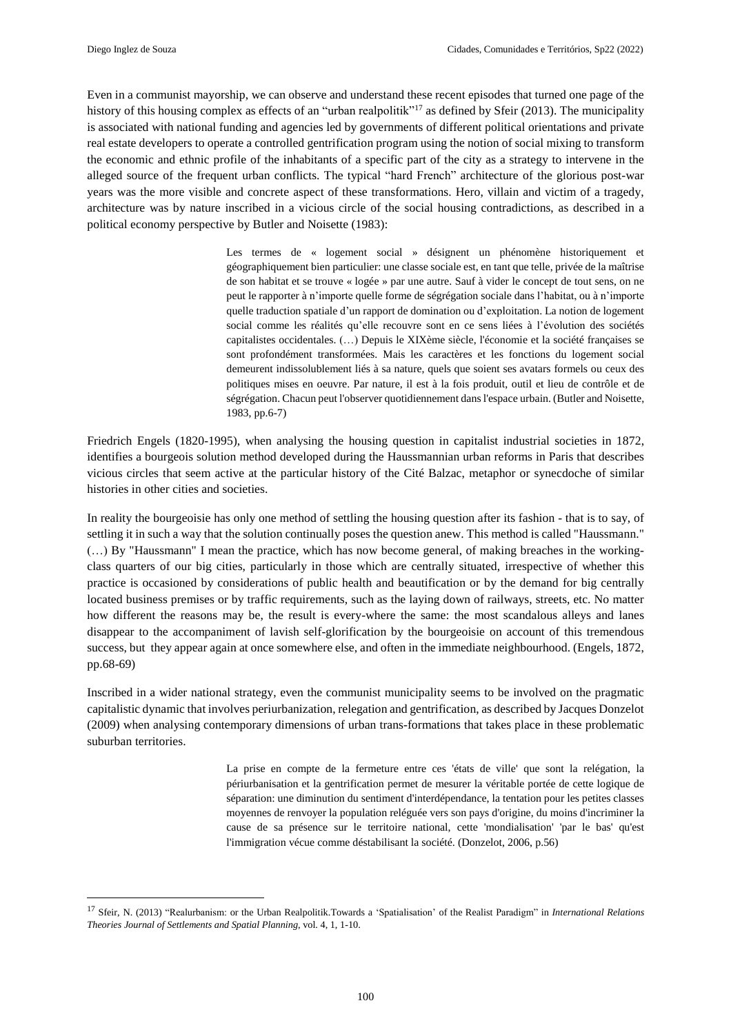Even in a communist mayorship, we can observe and understand these recent episodes that turned one page of the history of this housing complex as effects of an "urban realpolitik"<sup>17</sup> as defined by Sfeir (2013). The municipality is associated with national funding and agencies led by governments of different political orientations and private real estate developers to operate a controlled gentrification program using the notion of social mixing to transform the economic and ethnic profile of the inhabitants of a specific part of the city as a strategy to intervene in the alleged source of the frequent urban conflicts. The typical "hard French" architecture of the glorious post-war years was the more visible and concrete aspect of these transformations. Hero, villain and victim of a tragedy, architecture was by nature inscribed in a vicious circle of the social housing contradictions, as described in a political economy perspective by Butler and Noisette (1983):

> Les termes de « logement social » désignent un phénomène historiquement et géographiquement bien particulier: une classe sociale est, en tant que telle, privée de la maîtrise de son habitat et se trouve « logée » par une autre. Sauf à vider le concept de tout sens, on ne peut le rapporter à n'importe quelle forme de ségrégation sociale dans l'habitat, ou à n'importe quelle traduction spatiale d'un rapport de domination ou d'exploitation. La notion de logement social comme les réalités qu'elle recouvre sont en ce sens liées à l'évolution des sociétés capitalistes occidentales. (…) Depuis le XIXème siècle, l'économie et la société françaises se sont profondément transformées. Mais les caractères et les fonctions du logement social demeurent indissolublement liés à sa nature, quels que soient ses avatars formels ou ceux des politiques mises en oeuvre. Par nature, il est à la fois produit, outil et lieu de contrôle et de ségrégation. Chacun peut l'observer quotidiennement dansl'espace urbain. (Butler and Noisette, 1983, pp.6-7)

Friedrich Engels (1820-1995), when analysing the housing question in capitalist industrial societies in 1872, identifies a bourgeois solution method developed during the Haussmannian urban reforms in Paris that describes vicious circles that seem active at the particular history of the Cité Balzac, metaphor or synecdoche of similar histories in other cities and societies.

In reality the bourgeoisie has only one method of settling the housing question after its fashion - that is to say, of settling it in such a way that the solution continually poses the question anew. This method is called "Haussmann." (…) By "Haussmann" I mean the practice, which has now become general, of making breaches in the workingclass quarters of our big cities, particularly in those which are centrally situated, irrespective of whether this practice is occasioned by considerations of public health and beautification or by the demand for big centrally located business premises or by traffic requirements, such as the laying down of railways, streets, etc. No matter how different the reasons may be, the result is every-where the same: the most scandalous alleys and lanes disappear to the accompaniment of lavish self-glorification by the bourgeoisie on account of this tremendous success, but they appear again at once somewhere else, and often in the immediate neighbourhood. (Engels, 1872, pp.68-69)

Inscribed in a wider national strategy, even the communist municipality seems to be involved on the pragmatic capitalistic dynamic that involves periurbanization, relegation and gentrification, as described by Jacques Donzelot (2009) when analysing contemporary dimensions of urban trans-formations that takes place in these problematic suburban territories.

> La prise en compte de la fermeture entre ces 'états de ville' que sont la relégation, la périurbanisation et la gentrification permet de mesurer la véritable portée de cette logique de séparation: une diminution du sentiment d'interdépendance, la tentation pour les petites classes moyennes de renvoyer la population reléguée vers son pays d'origine, du moins d'incriminer la cause de sa présence sur le territoire national, cette 'mondialisation' 'par le bas' qu'est l'immigration vécue comme déstabilisant la société. (Donzelot, 2006, p.56)

<sup>17</sup> Sfeir, N. (2013) "Realurbanism: or the Urban Realpolitik.Towards a 'Spatialisation' of the Realist Paradigm" in *International Relations Theories Journal of Settlements and Spatial Planning*, vol. 4, 1, 1-10.